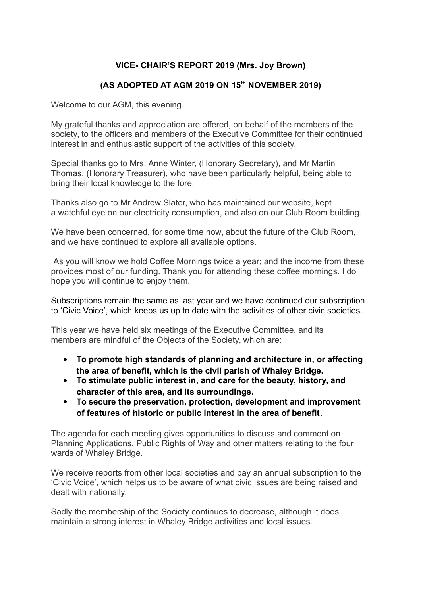## **VICE- CHAIR'S REPORT 2019 (Mrs. Joy Brown)**

## **(AS ADOPTED AT AGM 2019 ON 15th NOVEMBER 2019)**

Welcome to our AGM, this evening.

My grateful thanks and appreciation are offered, on behalf of the members of the society, to the officers and members of the Executive Committee for their continued interest in and enthusiastic support of the activities of this society.

Special thanks go to Mrs. Anne Winter, (Honorary Secretary), and Mr Martin Thomas, (Honorary Treasurer), who have been particularly helpful, being able to bring their local knowledge to the fore.

Thanks also go to Mr Andrew Slater, who has maintained our website, kept a watchful eye on our electricity consumption, and also on our Club Room building.

We have been concerned, for some time now, about the future of the Club Room, and we have continued to explore all available options.

As you will know we hold Coffee Mornings twice a year; and the income from these provides most of our funding. Thank you for attending these coffee mornings. I do hope you will continue to enjoy them.

Subscriptions remain the same as last year and we have continued our subscription to 'Civic Voice', which keeps us up to date with the activities of other civic societies.

This year we have held six meetings of the Executive Committee, and its members are mindful of the Objects of the Society, which are:

- **To promote high standards of planning and architecture in, or affecting the area of benefit, which is the civil parish of Whaley Bridge.**
- **To stimulate public interest in, and care for the beauty, history, and character of this area, and its surroundings.**
- **To secure the preservation, protection, development and improvement of features of historic or public interest in the area of benefit**.

The agenda for each meeting gives opportunities to discuss and comment on Planning Applications, Public Rights of Way and other matters relating to the four wards of Whaley Bridge.

We receive reports from other local societies and pay an annual subscription to the 'Civic Voice', which helps us to be aware of what civic issues are being raised and dealt with nationally.

Sadly the membership of the Society continues to decrease, although it does maintain a strong interest in Whaley Bridge activities and local issues.